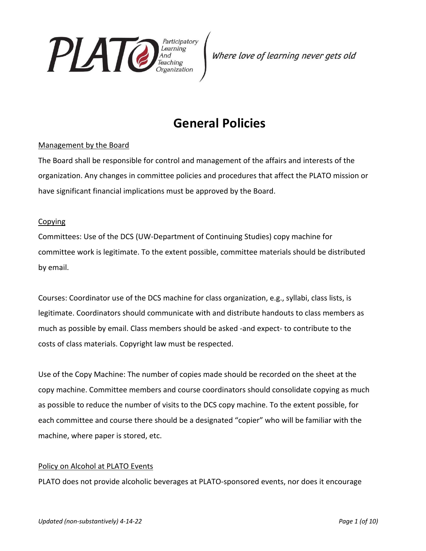

# **General Policies**

# Management by the Board

The Board shall be responsible for control and management of the affairs and interests of the organization. Any changes in committee policies and procedures that affect the PLATO mission or have significant financial implications must be approved by the Board.

# Copying

Committees: Use of the DCS (UW-Department of Continuing Studies) copy machine for committee work is legitimate. To the extent possible, committee materials should be distributed by email.

Courses: Coordinator use of the DCS machine for class organization, e.g., syllabi, class lists, is legitimate. Coordinators should communicate with and distribute handouts to class members as much as possible by email. Class members should be asked -and expect- to contribute to the costs of class materials. Copyright law must be respected.

Use of the Copy Machine: The number of copies made should be recorded on the sheet at the copy machine. Committee members and course coordinators should consolidate copying as much as possible to reduce the number of visits to the DCS copy machine. To the extent possible, for each committee and course there should be a designated "copier" who will be familiar with the machine, where paper is stored, etc.

# Policy on Alcohol at PLATO Events

PLATO does not provide alcoholic beverages at PLATO-sponsored events, nor does it encourage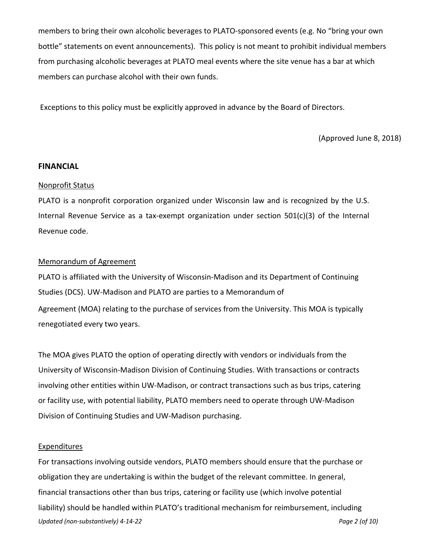members to bring their own alcoholic beverages to PLATO-sponsored events (e.g. No "bring your own bottle" statements on event announcements). This policy is not meant to prohibit individual members from purchasing alcoholic beverages at PLATO meal events where the site venue has a bar at which members can purchase alcohol with their own funds.

Exceptions to this policy must be explicitly approved in advance by the Board of Directors.

(Approved June 8, 2018)

## **FINANCIAL**

#### Nonprofit Status

PLATO is a nonprofit corporation organized under Wisconsin law and is recognized by the U.S. Internal Revenue Service as a tax-exempt organization under section 501(c)(3) of the Internal Revenue code.

# Memorandum of Agreement

PLATO is affiliated with the University of Wisconsin-Madison and its Department of Continuing Studies (DCS). UW-Madison and PLATO are parties to a Memorandum of Agreement (MOA) relating to the purchase of services from the University. This MOA is typically renegotiated every two years.

The MOA gives PLATO the option of operating directly with vendors or individuals from the University of Wisconsin-Madison Division of Continuing Studies. With transactions or contracts involving other entities within UW-Madison, or contract transactions such as bus trips, catering or facility use, with potential liability, PLATO members need to operate through UW-Madison Division of Continuing Studies and UW-Madison purchasing.

#### **Expenditures**

*Updated (non-substantively) 4-14-22 Page 2 (of 10)* For transactions involving outside vendors, PLATO members should ensure that the purchase or obligation they are undertaking is within the budget of the relevant committee. In general, financial transactions other than bus trips, catering or facility use (which involve potential liability) should be handled within PLATO's traditional mechanism for reimbursement, including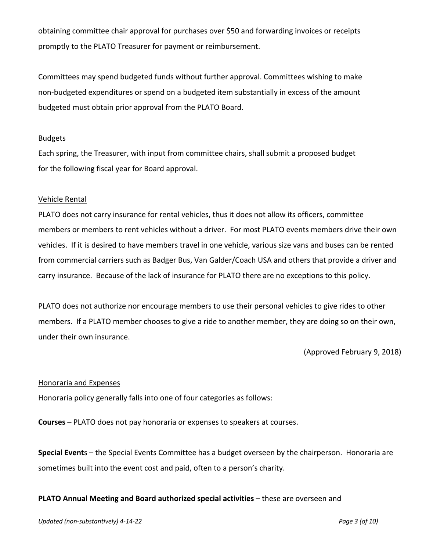obtaining committee chair approval for purchases over \$50 and forwarding invoices or receipts promptly to the PLATO Treasurer for payment or reimbursement.

Committees may spend budgeted funds without further approval. Committees wishing to make non-budgeted expenditures or spend on a budgeted item substantially in excess of the amount budgeted must obtain prior approval from the PLATO Board.

## **Budgets**

Each spring, the Treasurer, with input from committee chairs, shall submit a proposed budget for the following fiscal year for Board approval.

## Vehicle Rental

PLATO does not carry insurance for rental vehicles, thus it does not allow its officers, committee members or members to rent vehicles without a driver. For most PLATO events members drive their own vehicles. If it is desired to have members travel in one vehicle, various size vans and buses can be rented from commercial carriers such as Badger Bus, Van Galder/Coach USA and others that provide a driver and carry insurance. Because of the lack of insurance for PLATO there are no exceptions to this policy.

PLATO does not authorize nor encourage members to use their personal vehicles to give rides to other members. If a PLATO member chooses to give a ride to another member, they are doing so on their own, under their own insurance.

(Approved February 9, 2018)

#### Honoraria and Expenses

Honoraria policy generally falls into one of four categories as follows:

**Courses** – PLATO does not pay honoraria or expenses to speakers at courses.

**Special Event**s – the Special Events Committee has a budget overseen by the chairperson. Honoraria are sometimes built into the event cost and paid, often to a person's charity.

#### **PLATO Annual Meeting and Board authorized special activities** – these are overseen and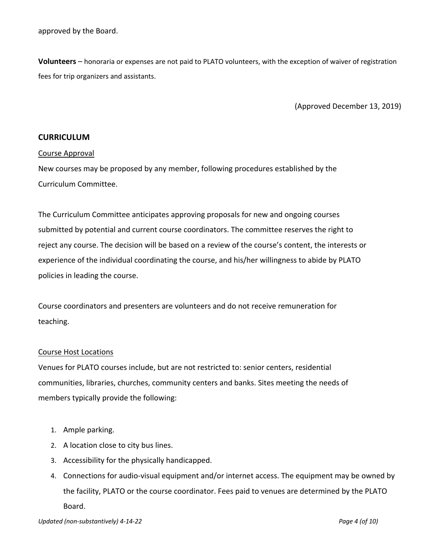approved by the Board.

**Volunteers** – honoraria or expenses are not paid to PLATO volunteers, with the exception of waiver of registration fees for trip organizers and assistants.

(Approved December 13, 2019)

# **CURRICULUM**

#### Course Approval

New courses may be proposed by any member, following procedures established by the Curriculum Committee.

The Curriculum Committee anticipates approving proposals for new and ongoing courses submitted by potential and current course coordinators. The committee reserves the right to reject any course. The decision will be based on a review of the course's content, the interests or experience of the individual coordinating the course, and his/her willingness to abide by PLATO policies in leading the course.

Course coordinators and presenters are volunteers and do not receive remuneration for teaching.

#### Course Host Locations

Venues for PLATO courses include, but are not restricted to: senior centers, residential communities, libraries, churches, community centers and banks. Sites meeting the needs of members typically provide the following:

- 1. Ample parking.
- 2. A location close to city bus lines.
- 3. Accessibility for the physically handicapped.
- 4. Connections for audio-visual equipment and/or internet access. The equipment may be owned by the facility, PLATO or the course coordinator. Fees paid to venues are determined by the PLATO Board.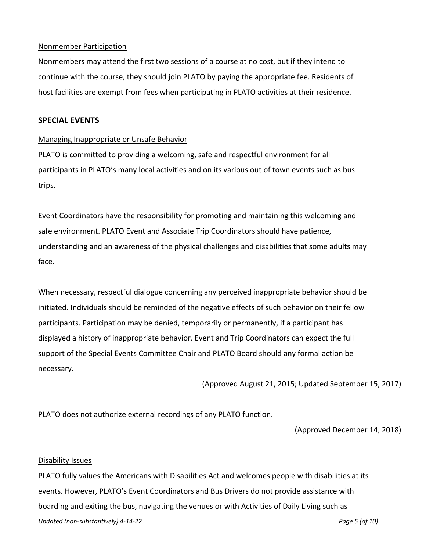## Nonmember Participation

Nonmembers may attend the first two sessions of a course at no cost, but if they intend to continue with the course, they should join PLATO by paying the appropriate fee. Residents of host facilities are exempt from fees when participating in PLATO activities at their residence.

# **SPECIAL EVENTS**

## Managing Inappropriate or Unsafe Behavior

PLATO is committed to providing a welcoming, safe and respectful environment for all participants in PLATO's many local activities and on its various out of town events such as bus trips.

Event Coordinators have the responsibility for promoting and maintaining this welcoming and safe environment. PLATO Event and Associate Trip Coordinators should have patience, understanding and an awareness of the physical challenges and disabilities that some adults may face.

When necessary, respectful dialogue concerning any perceived inappropriate behavior should be initiated. Individuals should be reminded of the negative effects of such behavior on their fellow participants. Participation may be denied, temporarily or permanently, if a participant has displayed a history of inappropriate behavior. Event and Trip Coordinators can expect the full support of the Special Events Committee Chair and PLATO Board should any formal action be necessary.

(Approved August 21, 2015; Updated September 15, 2017)

PLATO does not authorize external recordings of any PLATO function.

(Approved December 14, 2018)

#### Disability Issues

*Updated (non-substantively) 4-14-22 Page 5 (of 10)* PLATO fully values the Americans with Disabilities Act and welcomes people with disabilities at its events. However, PLATO's Event Coordinators and Bus Drivers do not provide assistance with boarding and exiting the bus, navigating the venues or with Activities of Daily Living such as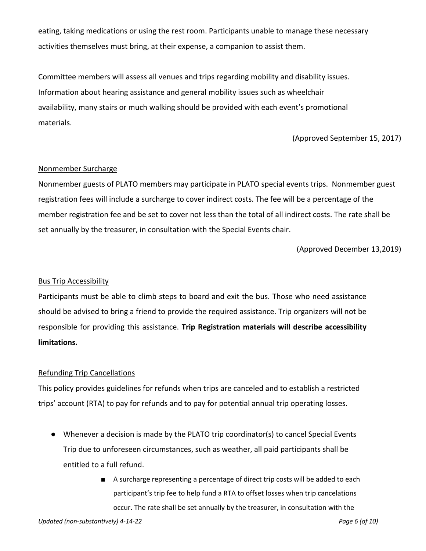eating, taking medications or using the rest room. Participants unable to manage these necessary activities themselves must bring, at their expense, a companion to assist them.

Committee members will assess all venues and trips regarding mobility and disability issues. Information about hearing assistance and general mobility issues such as wheelchair availability, many stairs or much walking should be provided with each event's promotional materials.

(Approved September 15, 2017)

# Nonmember Surcharge

Nonmember guests of PLATO members may participate in PLATO special events trips. Nonmember guest registration fees will include a surcharge to cover indirect costs. The fee will be a percentage of the member registration fee and be set to cover not less than the total of all indirect costs. The rate shall be set annually by the treasurer, in consultation with the Special Events chair.

(Approved December 13,2019)

# Bus Trip Accessibility

Participants must be able to climb steps to board and exit the bus. Those who need assistance should be advised to bring a friend to provide the required assistance. Trip organizers will not be responsible for providing this assistance. **Trip Registration materials will describe accessibility limitations.**

# Refunding Trip Cancellations

This policy provides guidelines for refunds when trips are canceled and to establish a restricted trips' account (RTA) to pay for refunds and to pay for potential annual trip operating losses.

- Whenever a decision is made by the PLATO trip coordinator(s) to cancel Special Events Trip due to unforeseen circumstances, such as weather, all paid participants shall be entitled to a full refund.
	- A surcharge representing a percentage of direct trip costs will be added to each participant's trip fee to help fund a RTA to offset losses when trip cancelations occur. The rate shall be set annually by the treasurer, in consultation with the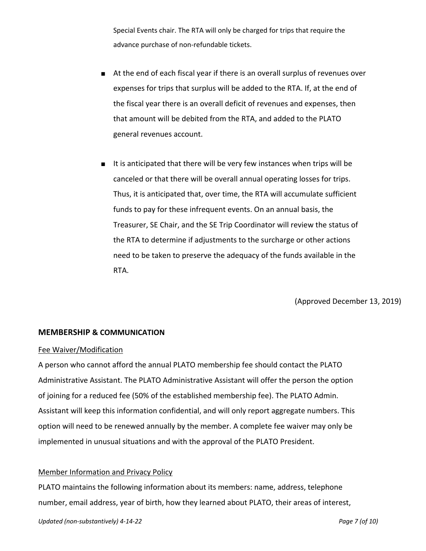Special Events chair. The RTA will only be charged for trips that require the advance purchase of non-refundable tickets.

- At the end of each fiscal year if there is an overall surplus of revenues over expenses for trips that surplus will be added to the RTA. If, at the end of the fiscal year there is an overall deficit of revenues and expenses, then that amount will be debited from the RTA, and added to the PLATO general revenues account.
- It is anticipated that there will be very few instances when trips will be canceled or that there will be overall annual operating losses for trips. Thus, it is anticipated that, over time, the RTA will accumulate sufficient funds to pay for these infrequent events. On an annual basis, the Treasurer, SE Chair, and the SE Trip Coordinator will review the status of the RTA to determine if adjustments to the surcharge or other actions need to be taken to preserve the adequacy of the funds available in the RTA.

(Approved December 13, 2019)

#### **MEMBERSHIP & COMMUNICATION**

#### Fee Waiver/Modification

A person who cannot afford the annual PLATO membership fee should contact the PLATO Administrative Assistant. The PLATO Administrative Assistant will offer the person the option of joining for a reduced fee (50% of the established membership fee). The PLATO Admin. Assistant will keep this information confidential, and will only report aggregate numbers. This option will need to be renewed annually by the member. A complete fee waiver may only be implemented in unusual situations and with the approval of the PLATO President.

#### Member Information and Privacy Policy

PLATO maintains the following information about its members: name, address, telephone number, email address, year of birth, how they learned about PLATO, their areas of interest,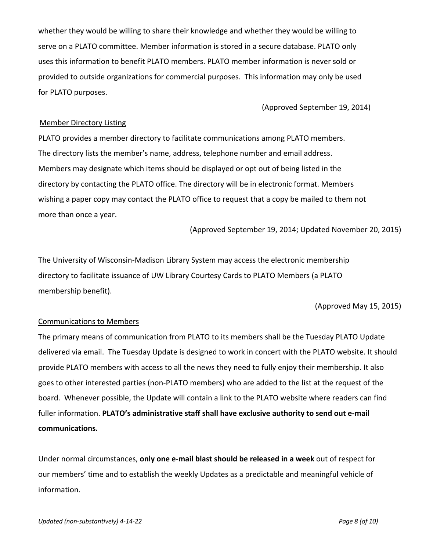whether they would be willing to share their knowledge and whether they would be willing to serve on a PLATO committee. Member information is stored in a secure database. PLATO only uses this information to benefit PLATO members. PLATO member information is never sold or provided to outside organizations for commercial purposes. This information may only be used for PLATO purposes.

(Approved September 19, 2014)

# Member Directory Listing

PLATO provides a member directory to facilitate communications among PLATO members. The directory lists the member's name, address, telephone number and email address. Members may designate which items should be displayed or opt out of being listed in the directory by contacting the PLATO office. The directory will be in electronic format. Members wishing a paper copy may contact the PLATO office to request that a copy be mailed to them not more than once a year.

(Approved September 19, 2014; Updated November 20, 2015)

The University of Wisconsin-Madison Library System may access the electronic membership directory to facilitate issuance of UW Library Courtesy Cards to PLATO Members (a PLATO membership benefit).

(Approved May 15, 2015)

#### Communications to Members

The primary means of communication from PLATO to its members shall be the Tuesday PLATO Update delivered via email. The Tuesday Update is designed to work in concert with the PLATO website. It should provide PLATO members with access to all the news they need to fully enjoy their membership. It also goes to other interested parties (non-PLATO members) who are added to the list at the request of the board. Whenever possible, the Update will contain a link to the PLATO website where readers can find fuller information. **PLATO's administrative staff shall have exclusive authority to send out e-mail communications.**

Under normal circumstances, **only one e-mail blast should be released in a week** out of respect for our members' time and to establish the weekly Updates as a predictable and meaningful vehicle of information.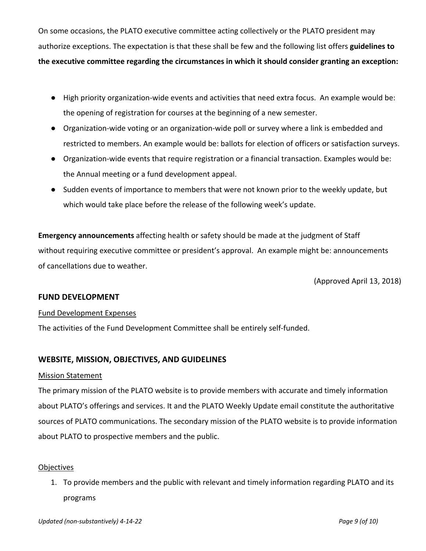On some occasions, the PLATO executive committee acting collectively or the PLATO president may authorize exceptions. The expectation is that these shall be few and the following list offers **guidelines to the executive committee regarding the circumstances in which it should consider granting an exception:**

- High priority organization-wide events and activities that need extra focus. An example would be: the opening of registration for courses at the beginning of a new semester.
- Organization-wide voting or an organization-wide poll or survey where a link is embedded and restricted to members. An example would be: ballots for election of officers or satisfaction surveys.
- Organization-wide events that require registration or a financial transaction. Examples would be: the Annual meeting or a fund development appeal.
- Sudden events of importance to members that were not known prior to the weekly update, but which would take place before the release of the following week's update.

**Emergency announcements** affecting health or safety should be made at the judgment of Staff without requiring executive committee or president's approval. An example might be: announcements of cancellations due to weather.

(Approved April 13, 2018)

# **FUND DEVELOPMENT**

#### Fund Development Expenses

The activities of the Fund Development Committee shall be entirely self-funded.

# **WEBSITE, MISSION, OBJECTIVES, AND GUIDELINES**

#### Mission Statement

The primary mission of the PLATO website is to provide members with accurate and timely information about PLATO's offerings and services. It and the PLATO Weekly Update email constitute the authoritative sources of PLATO communications. The secondary mission of the PLATO website is to provide information about PLATO to prospective members and the public.

# Objectives

1. To provide members and the public with relevant and timely information regarding PLATO and its programs